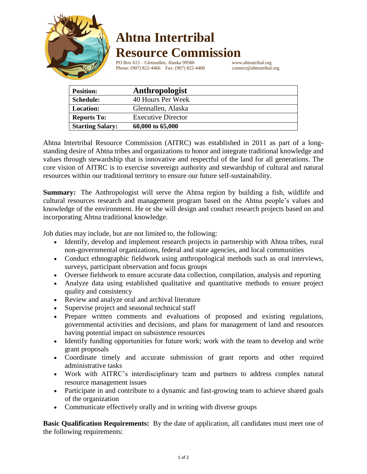

## **Ahtna Intertribal Resource Commission**

PO Box 613 – Glennallen, Alaska 99588 www.ahtnatribal.org<br>Phone: (907) 822-4466 Fax: (907) 822-4406 connect@ahtnatribal.org Phone: (907) 822-4466 Fax: (907) 822-4406

| <b>Position:</b>        | Anthropologist            |
|-------------------------|---------------------------|
| <b>Schedule:</b>        | 40 Hours Per Week         |
| <b>Location:</b>        | Glennallen, Alaska        |
| <b>Reports To:</b>      | <b>Executive Director</b> |
| <b>Starting Salary:</b> | 60,000 to 65,000          |

Ahtna Intertribal Resource Commission (AITRC) was established in 2011 as part of a longstanding desire of Ahtna tribes and organizations to honor and integrate traditional knowledge and values through stewardship that is innovative and respectful of the land for all generations. The core vision of AITRC is to exercise sovereign authority and stewardship of cultural and natural resources within our traditional territory to ensure our future self-sustainability.

**Summary:** The Anthropologist will serve the Ahtna region by building a fish, wildlife and cultural resources research and management program based on the Ahtna people's values and knowledge of the environment. He or she will design and conduct research projects based on and incorporating Ahtna traditional knowledge.

Job duties may include, but are not limited to, the following:

- Identify, develop and implement research projects in partnership with Ahtna tribes, rural non-governmental organizations, federal and state agencies, and local communities
- Conduct ethnographic fieldwork using anthropological methods such as oral interviews, surveys, participant observation and focus groups
- Oversee fieldwork to ensure accurate data collection, compilation, analysis and reporting
- Analyze data using established qualitative and quantitative methods to ensure project quality and consistency
- Review and analyze oral and archival literature
- Supervise project and seasonal technical staff
- Prepare written comments and evaluations of proposed and existing regulations, governmental activities and decisions, and plans for management of land and resources having potential impact on subsistence resources
- Identify funding opportunities for future work; work with the team to develop and write grant proposals
- Coordinate timely and accurate submission of grant reports and other required administrative tasks
- Work with AITRC's interdisciplinary team and partners to address complex natural resource management issues
- Participate in and contribute to a dynamic and fast-growing team to achieve shared goals of the organization
- Communicate effectively orally and in writing with diverse groups

**Basic Qualification Requirements:** By the date of application, all candidates must meet one of the following requirements: